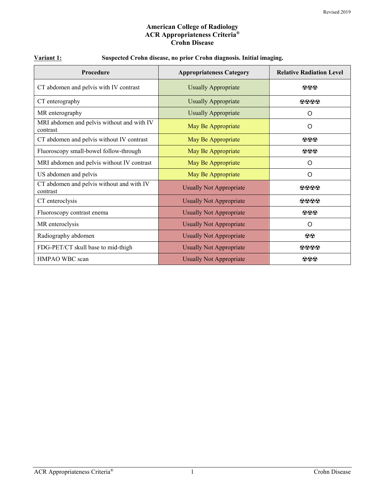#### **American College of Radiology ACR Appropriateness Criteria® Crohn Disease**

| Procedure                                              | <b>Appropriateness Category</b> | <b>Relative Radiation Level</b>                   |
|--------------------------------------------------------|---------------------------------|---------------------------------------------------|
| CT abdomen and pelvis with IV contrast                 | <b>Usually Appropriate</b>      | $\odot$ $\odot$                                   |
| CT enterography                                        | <b>Usually Appropriate</b>      | 0000                                              |
| MR enterography                                        | <b>Usually Appropriate</b>      | O                                                 |
| MRI abdomen and pelvis without and with IV<br>contrast | May Be Appropriate              | O                                                 |
| CT abdomen and pelvis without IV contrast              | May Be Appropriate              | $\odot$ $\odot$                                   |
| Fluoroscopy small-bowel follow-through                 | May Be Appropriate              | $\bf{999}$                                        |
| MRI abdomen and pelvis without IV contrast             | May Be Appropriate              | O                                                 |
| US abdomen and pelvis                                  | May Be Appropriate              | O                                                 |
| CT abdomen and pelvis without and with IV<br>contrast  | <b>Usually Not Appropriate</b>  | $\Omega$ $\Omega$ $\Omega$                        |
| CT enteroclysis                                        | <b>Usually Not Appropriate</b>  | 0000                                              |
| Fluoroscopy contrast enema                             | <b>Usually Not Appropriate</b>  | $\mathbf{\Omega} \mathbf{\Omega} \mathbf{\Theta}$ |
| MR enteroclysis                                        | <b>Usually Not Appropriate</b>  | O                                                 |
| Radiography abdomen                                    | <b>Usually Not Appropriate</b>  | $\odot\odot$                                      |
| FDG-PET/CT skull base to mid-thigh                     | <b>Usually Not Appropriate</b>  | 0000                                              |
| HMPAO WBC scan                                         | <b>Usually Not Appropriate</b>  | $\odot\odot\odot$                                 |

# **Variant 1: Suspected Crohn disease, no prior Crohn diagnosis. Initial imaging.**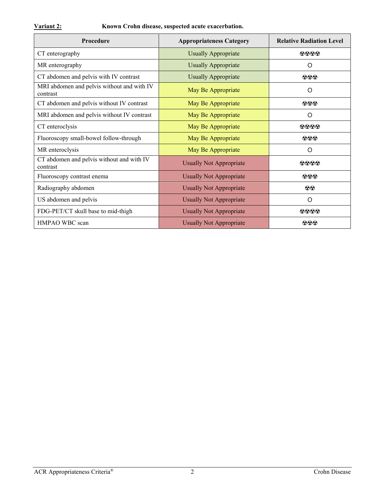| <b>Procedure</b>                                       | <b>Appropriateness Category</b> | <b>Relative Radiation Level</b> |
|--------------------------------------------------------|---------------------------------|---------------------------------|
| CT enterography                                        | <b>Usually Appropriate</b>      | $\Omega$ $\Omega$ $\Omega$      |
| MR enterography                                        | <b>Usually Appropriate</b>      | O                               |
| CT abdomen and pelvis with IV contrast                 | <b>Usually Appropriate</b>      | $\odot$ $\odot$                 |
| MRI abdomen and pelvis without and with IV<br>contrast | May Be Appropriate              | O                               |
| CT abdomen and pelvis without IV contrast              | May Be Appropriate              | $\Omega$ $\Omega$ $\Omega$      |
| MRI abdomen and pelvis without IV contrast             | May Be Appropriate              | O                               |
| CT enteroclysis                                        | May Be Appropriate              | 0000                            |
| Fluoroscopy small-bowel follow-through                 | May Be Appropriate              | $\bf{O} \bf{O} \bf{O}$          |
| MR enteroclysis                                        | May Be Appropriate              | O                               |
| CT abdomen and pelvis without and with IV<br>contrast  | <b>Usually Not Appropriate</b>  | 0000                            |
| Fluoroscopy contrast enema                             | <b>Usually Not Appropriate</b>  | $\bf{O} \bf{O} \bf{O}$          |
| Radiography abdomen                                    | <b>Usually Not Appropriate</b>  | $\odot\odot$                    |
| US abdomen and pelvis                                  | <b>Usually Not Appropriate</b>  | O                               |
| FDG-PET/CT skull base to mid-thigh                     | <b>Usually Not Appropriate</b>  | $\Omega$ $\Omega$ $\Omega$      |
| HMPAO WBC scan                                         | <b>Usually Not Appropriate</b>  | $\odot \odot \odot$             |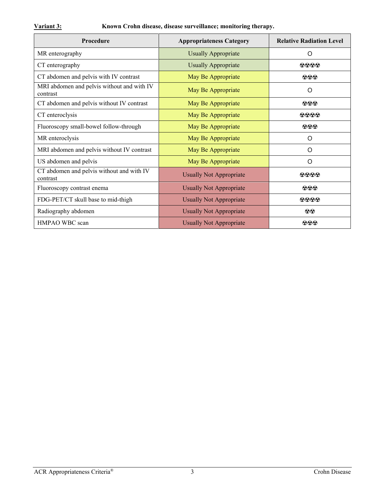| Procedure                                              | <b>Appropriateness Category</b> | <b>Relative Radiation Level</b> |
|--------------------------------------------------------|---------------------------------|---------------------------------|
| MR enterography                                        | <b>Usually Appropriate</b>      | O                               |
| CT enterography                                        | <b>Usually Appropriate</b>      | $\Omega$ $\Omega$ $\Omega$      |
| CT abdomen and pelvis with IV contrast                 | May Be Appropriate              | $\odot$ $\odot$                 |
| MRI abdomen and pelvis without and with IV<br>contrast | May Be Appropriate              | O                               |
| CT abdomen and pelvis without IV contrast              | May Be Appropriate              | $\Omega$ $\Omega$ $\Omega$      |
| CT enteroclysis                                        | May Be Appropriate              | 0000                            |
| Fluoroscopy small-bowel follow-through                 | May Be Appropriate              | $\odot \odot \odot$             |
| MR enteroclysis                                        | May Be Appropriate              | $\circ$                         |
| MRI abdomen and pelvis without IV contrast             | May Be Appropriate              | $\circ$                         |
| US abdomen and pelvis                                  | May Be Appropriate              | O                               |
| CT abdomen and pelvis without and with IV<br>contrast  | <b>Usually Not Appropriate</b>  | 0000                            |
| Fluoroscopy contrast enema                             | <b>Usually Not Appropriate</b>  | $\odot \odot \odot$             |
| FDG-PET/CT skull base to mid-thigh                     | <b>Usually Not Appropriate</b>  | 0000                            |
| Radiography abdomen                                    | <b>Usually Not Appropriate</b>  | $\odot\odot$                    |
| HMPAO WBC scan                                         | <b>Usually Not Appropriate</b>  | $\Omega$ $\Omega$ $\Omega$      |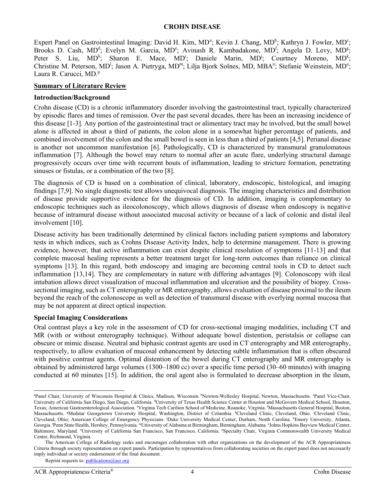#### **CROHN DISEASE**

Expert P[a](#page-3-0)nel on Gastrointestinal Imaging: David H. Kim, MD<sup>a</sup>; Kevin J. Chang, MD<sup>b</sup>; Kathryn J. Fowler, MD<sup>c</sup>; Brooks D. Cash, MD<sup>d</sup>; Evelyn M. Garcia, MD<sup>e</sup>; Avinash R. Kambadakone, MD<sup>f</sup>; Angela D. Levy, MD<sup>g</sup>; Peter S. Liu, MD<sup>h</sup>; Sharon E. Mace, MD<sup>i</sup>; Daniele Marin, MD<sup>j</sup>; Courtney Moreno, MD<sup>k</sup>; Christine M. Peterson, MD<sup>1</sup>; Jason A. Pietryga, MD<sup>m</sup>; Lilja Bjork Solnes, MD, MBA<sup>n</sup>; Stefanie Weinstein, MD°; Laura R. Carucci, MD.<sup>p</sup>

#### **Summary of Literature Review**

#### **Introduction/Background**

Crohn disease (CD) is a chronic inflammatory disorder involving the gastrointestinal tract, typically characterized by episodic flares and times of remission. Over the past several decades, there has been an increasing incidence of this disease [1-3]. Any portion of the gastrointestinal tract or alimentary tract may be involved, but the small bowel alone is affected in about a third of patients, the colon alone in a somewhat higher percentage of patients, and combined involvement of the colon and the small bowel is seen in less than a third of patients [4,5]. Perianal disease is another not uncommon manifestation [6]. Pathologically, CD is characterized by transmural granulomatous inflammation [7]. Although the bowel may return to normal after an acute flare, underlying structural damage progressively occurs over time with recurrent bouts of inflammation, leading to stricture formation, penetrating sinuses or fistulas, or a combination of the two [8].

The diagnosis of CD is based on a combination of clinical, laboratory, endoscopic, histological, and imaging findings [7,9]. No single diagnostic test allows unequivocal diagnosis. The imaging characteristics and distribution of disease provide supportive evidence for the diagnosis of CD. In addition, imaging is complementary to endoscopic techniques such as ileocolonoscopy, which allows diagnosis of disease when endoscopy is negative because of intramural disease without associated mucosal activity or because of a lack of colonic and distal ileal involvement [10].

Disease activity has been traditionally determined by clinical factors including patient symptoms and laboratory tests in which indices, such as Crohns Disease Activity Index, help to determine management. There is growing evidence, however, that active inflammation can exist despite clinical resolution of symptoms [11-13] and that complete mucosal healing represents a better treatment target for long-term outcomes than reliance on clinical symptoms [13]. In this regard, both endoscopy and imaging are becoming central tools in CD to detect such inflammation [13,14]. They are complementary in nature with differing advantages [9]. Colonoscopy with ileal intubation allows direct visualization of mucosal inflammation and ulceration and the possibility of biopsy. Crosssectional imaging, such as CT enterography or MR enterography, allows evaluation of disease proximal to the ileum beyond the reach of the colonoscope as well as detection of transmural disease with overlying normal mucosa that may be not apparent at direct optical inspection.

#### **Special Imaging Considerations**

Oral contrast plays a key role in the assessment of CD for cross-sectional imaging modalities, including CT and MR (with or without enterography technique). Without adequate bowel distention, peristalsis or collapse can obscure or mimic disease. Neutral and biphasic contrast agents are used in CT enterography and MR enterography, respectively, to allow evaluation of mucosal enhancement by detecting subtle inflammation that is often obscured with positive contrast agents. Optimal distention of the bowel during CT enterography and MR enterography is obtained by administered large volumes (1300–1800 cc) over a specific time period (30–60 minutes) with imaging conducted at 60 minutes [15]. In addition, the oral agent also is formulated to decrease absorption in the ileum,

<span id="page-3-0"></span>a Panel Chair, University of Wisconsin Hospital & Clinics, Madison, Wisconsin. <sup>b</sup>Newton-Wellesley Hospital, Newton, Massachusetts. <sup>c</sup>Panel Vice-Chair, University of California San Diego, San Diego, California. <sup>d</sup>University of Texas Health Science Center at Houston and McGovern Medical School, Houston, Texas; American Gastroenterological Association. 'Virginia Tech Carilion School of Medicine, Roanoke, Virginia. 'Massachusetts General Hospital, Boston, Massachusetts. <sup>g</sup>Medstar Georgetown University Hospital, Washington, District of Columbia. <sup>h</sup>Cleveland Clinic, Cleveland, Ohio. <sup>i</sup>Cleveland Clinic, Cleveland, Ohio; American College of Emergency Physicians. <sup>j</sup>Duke University Medical Center, Durham, North Carolina. <sup>k</sup>Emory University, Atlanta, Georgia. l Penn State Health, Hershey, Pennsylvania. mUniversity of Alabama at Birmingham, Birmingham, Alabama. n Johns Hopkins Bayview Medical Center, Baltimore, Maryland. <sup>o</sup>University of California San Francisco, San Francisco, California. <sup>p</sup>Specialty Chair, Virginia Commonwealth University Medical Center, Richmond, Virginia.

The American College of Radiology seeks and encourages collaboration with other organizations on the development of the ACR Appropriateness Criteria through society representation on expert panels. Participation by representatives from collaborating societies on the expert panel does not necessarily imply individual or society endorsement of the final document.

Reprint requests to[: publications@acr.org](mailto:publications@acr.org)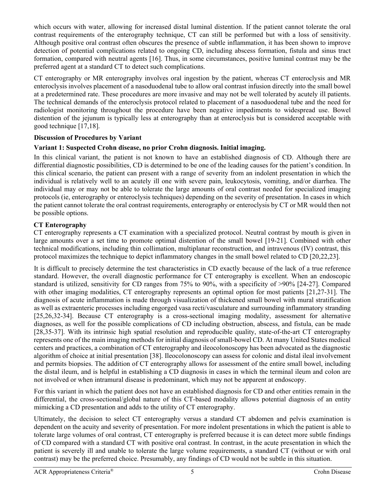which occurs with water, allowing for increased distal luminal distention. If the patient cannot tolerate the oral contrast requirements of the enterography technique, CT can still be performed but with a loss of sensitivity. Although positive oral contrast often obscures the presence of subtle inflammation, it has been shown to improve detection of potential complications related to ongoing CD, including abscess formation, fistula and sinus tract formation, compared with neutral agents [16]. Thus, in some circumstances, positive luminal contrast may be the preferred agent at a standard CT to detect such complications.

CT enterography or MR enterography involves oral ingestion by the patient, whereas CT enteroclysis and MR enteroclysis involves placement of a nasoduodenal tube to allow oral contrast infusion directly into the small bowel at a predetermined rate. These procedures are more invasive and may not be well tolerated by acutely ill patients. The technical demands of the enteroclysis protocol related to placement of a nasoduodenal tube and the need for radiologist monitoring throughout the procedure have been negative impediments to widespread use. Bowel distention of the jejunum is typically less at enterography than at enteroclysis but is considered acceptable with good technique [17,18].

# **Discussion of Procedures by Variant**

# **Variant 1: Suspected Crohn disease, no prior Crohn diagnosis. Initial imaging.**

In this clinical variant, the patient is not known to have an established diagnosis of CD. Although there are differential diagnostic possibilities, CD is determined to be one of the leading causes for the patient's condition. In this clinical scenario, the patient can present with a range of severity from an indolent presentation in which the individual is relatively well to an acutely ill one with severe pain, leukocytosis, vomiting, and/or diarrhea. The individual may or may not be able to tolerate the large amounts of oral contrast needed for specialized imaging protocols (ie, enterography or enteroclysis techniques) depending on the severity of presentation. In cases in which the patient cannot tolerate the oral contrast requirements, enterography or enteroclysis by CT or MR would then not be possible options.

# **CT Enterography**

CT enterography represents a CT examination with a specialized protocol. Neutral contrast by mouth is given in large amounts over a set time to promote optimal distention of the small bowel [19-21]. Combined with other technical modifications, including thin collimation, multiplanar reconstruction, and intravenous (IV) contrast, this protocol maximizes the technique to depict inflammatory changes in the small bowel related to CD [20,22,23].

It is difficult to precisely determine the test characteristics in CD exactly because of the lack of a true reference standard. However, the overall diagnostic performance for CT enterography is excellent. When an endoscopic standard is utilized, sensitivity for CD ranges from 75% to 90%, with a specificity of >90% [24-27]. Compared with other imaging modalities, CT enterography represents an optimal option for most patients [21,27-31]. The diagnosis of acute inflammation is made through visualization of thickened small bowel with mural stratification as well as extraenteric processes including engorged vasa recti/vasculature and surrounding inflammatory stranding [25,26,32-34]. Because CT enterography is a cross-sectional imaging modality, assessment for alternative diagnoses, as well for the possible complications of CD including obstruction, abscess, and fistula, can be made [28,35-37]. With its intrinsic high spatial resolution and reproducible quality, state-of-the-art CT enterography represents one of the main imaging methods for initial diagnosis of small-bowel CD. At many United States medical centers and practices, a combination of CT enterography and ileocolonoscopy has been advocated as the diagnostic algorithm of choice at initial presentation [38]. Ileocolonoscopy can assess for colonic and distal ileal involvement and permits biopsies. The addition of CT enterography allows for assessment of the entire small bowel, including the distal ileum, and is helpful in establishing a CD diagnosis in cases in which the terminal ileum and colon are not involved or when intramural disease is predominant, which may not be apparent at endoscopy.

For this variant in which the patient does not have an established diagnosis for CD and other entities remain in the differential, the cross-sectional/global nature of this CT-based modality allows potential diagnosis of an entity mimicking a CD presentation and adds to the utility of CT enterography.

Ultimately, the decision to select CT enterography versus a standard CT abdomen and pelvis examination is dependent on the acuity and severity of presentation. For more indolent presentations in which the patient is able to tolerate large volumes of oral contrast, CT enterography is preferred because it is can detect more subtle findings of CD compared with a standard CT with positive oral contrast. In contrast, in the acute presentation in which the patient is severely ill and unable to tolerate the large volume requirements, a standard CT (without or with oral contrast) may be the preferred choice. Presumably, any findings of CD would not be subtle in this situation.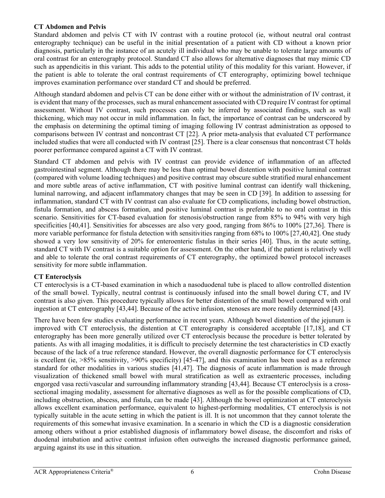## **CT Abdomen and Pelvis**

Standard abdomen and pelvis CT with IV contrast with a routine protocol (ie, without neutral oral contrast enterography technique) can be useful in the initial presentation of a patient with CD without a known prior diagnosis, particularly in the instance of an acutely ill individual who may be unable to tolerate large amounts of oral contrast for an enterography protocol. Standard CT also allows for alternative diagnoses that may mimic CD such as appendicitis in this variant. This adds to the potential utility of this modality for this variant. However, if the patient is able to tolerate the oral contrast requirements of CT enterography, optimizing bowel technique improves examination performance over standard CT and should be preferred.

Although standard abdomen and pelvis CT can be done either with or without the administration of IV contrast, it is evident that many of the processes, such as mural enhancement associated with CD require IV contrast for optimal assessment. Without IV contrast, such processes can only be inferred by associated findings, such as wall thickening, which may not occur in mild inflammation. In fact, the importance of contrast can be underscored by the emphasis on determining the optimal timing of imaging following IV contrast administration as opposed to comparisons between IV contrast and noncontrast CT [22]. A prior meta-analysis that evaluated CT performance included studies that were all conducted with IV contrast [25]. There is a clear consensus that noncontrast CT holds poorer performance compared against a CT with IV contrast.

Standard CT abdomen and pelvis with IV contrast can provide evidence of inflammation of an affected gastrointestinal segment. Although there may be less than optimal bowel distention with positive luminal contrast (compared with volume loading techniques) and positive contrast may obscure subtle stratified mural enhancement and more subtle areas of active inflammation, CT with positive luminal contrast can identify wall thickening, luminal narrowing, and adjacent inflammatory changes that may be seen in CD [39]. In addition to assessing for inflammation, standard CT with IV contrast can also evaluate for CD complications, including bowel obstruction, fistula formation, and abscess formation, and positive luminal contrast is preferable to no oral contrast in this scenario. Sensitivities for CT-based evaluation for stenosis/obstruction range from 85% to 94% with very high specificities [40,41]. Sensitivities for abscesses are also very good, ranging from 86% to 100% [27,36]. There is more variable performance for fistula detection with sensitivities ranging from 68% to 100% [27,40,42]. One study showed a very low sensitivity of 20% for enteroenteric fistulas in their series [40]. Thus, in the acute setting, standard CT with IV contrast is a suitable option for assessment. On the other hand, if the patient is relatively well and able to tolerate the oral contrast requirements of CT enterography, the optimized bowel protocol increases sensitivity for more subtle inflammation.

# **CT Enteroclysis**

CT enteroclysis is a CT-based examination in which a nasoduodenal tube is placed to allow controlled distention of the small bowel. Typically, neutral contrast is continuously infused into the small bowel during CT, and IV contrast is also given. This procedure typically allows for better distention of the small bowel compared with oral ingestion at CT enterography [43,44]. Because of the active infusion, stenoses are more readily determined [43].

There have been few studies evaluating performance in recent years. Although bowel distention of the jejunum is improved with CT enteroclysis, the distention at CT enterography is considered acceptable [17,18], and CT enterography has been more generally utilized over CT enteroclysis because the procedure is better tolerated by patients. As with all imaging modalities, it is difficult to precisely determine the test characteristics in CD exactly because of the lack of a true reference standard. However, the overall diagnostic performance for CT enteroclysis is excellent (ie, >85% sensitivity, >90% specificity) [45-47], and this examination has been used as a reference standard for other modalities in various studies [41,47]. The diagnosis of acute inflammation is made through visualization of thickened small bowel with mural stratification as well as extraenteric processes, including engorged vasa recti/vascular and surrounding inflammatory stranding [43,44]. Because CT enteroclysis is a crosssectional imaging modality, assessment for alternative diagnoses as well as for the possible complications of CD, including obstruction, abscess, and fistula, can be made [43]. Although the bowel optimization at CT enteroclysis allows excellent examination performance, equivalent to highest-performing modalities, CT enteroclysis is not typically suitable in the acute setting in which the patient is ill. It is not uncommon that they cannot tolerate the requirements of this somewhat invasive examination. In a scenario in which the CD is a diagnostic consideration among others without a prior established diagnosis of inflammatory bowel disease, the discomfort and risks of duodenal intubation and active contrast infusion often outweighs the increased diagnostic performance gained, arguing against its use in this situation.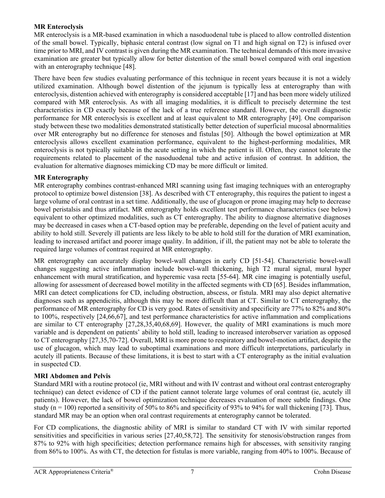### **MR Enteroclysis**

MR enteroclysis is a MR-based examination in which a nasoduodenal tube is placed to allow controlled distention of the small bowel. Typically, biphasic enteral contrast (low signal on T1 and high signal on T2) is infused over time prior to MRI, and IV contrast is given during the MR examination. The technical demands of this more invasive examination are greater but typically allow for better distention of the small bowel compared with oral ingestion with an enterography technique [48].

There have been few studies evaluating performance of this technique in recent years because it is not a widely utilized examination. Although bowel distention of the jejunum is typically less at enterography than with enteroclysis, distention achieved with enterography is considered acceptable [17] and has been more widely utilized compared with MR enteroclysis. As with all imaging modalities, it is difficult to precisely determine the test characteristics in CD exactly because of the lack of a true reference standard. However, the overall diagnostic performance for MR enteroclysis is excellent and at least equivalent to MR enterography [49]. One comparison study between these two modalities demonstrated statistically better detection of superficial mucosal abnormalities over MR enterography but no difference for stenoses and fistulas [50]. Although the bowel optimization at MR enteroclysis allows excellent examination performance, equivalent to the highest-performing modalities, MR enteroclysis is not typically suitable in the acute setting in which the patient is ill. Often, they cannot tolerate the requirements related to placement of the nasoduodenal tube and active infusion of contrast. In addition, the evaluation for alternative diagnoses mimicking CD may be more difficult or limited.

# **MR Enterography**

MR enterography combines contrast-enhanced MRI scanning using fast imaging techniques with an enterography protocol to optimize bowel distension [38]. As described with CT enterography, this requires the patient to ingest a large volume of oral contrast in a set time. Additionally, the use of glucagon or prone imaging may help to decrease bowel peristalsis and thus artifact. MR enterography holds excellent test performance characteristics (see below) equivalent to other optimized modalities, such as CT enterography. The ability to diagnose alternative diagnoses may be decreased in cases when a CT-based option may be preferable, depending on the level of patient acuity and ability to hold still. Severely ill patients are less likely to be able to hold still for the duration of MRI examination, leading to increased artifact and poorer image quality. In addition, if ill, the patient may not be able to tolerate the required large volumes of contrast required at MR enterography.

MR enterography can accurately display bowel-wall changes in early CD [51-54]. Characteristic bowel-wall changes suggesting active inflammation include bowel-wall thickening, high T2 mural signal, mural hyper enhancement with mural stratification, and hyperemic vasa recta [55-64]. MR cine imaging is potentially useful, allowing for assessment of decreased bowel motility in the affected segments with CD [65]. Besides inflammation, MRI can detect complications for CD, including obstruction, abscess, or fistula. MRI may also depict alternative diagnoses such as appendicitis, although this may be more difficult than at CT. Similar to CT enterography, the performance of MR enterography for CD is very good. Rates of sensitivity and specificity are 77% to 82% and 80% to 100%, respectively [24,66,67], and test performance characteristics for active inflammation and complications are similar to CT enterography [27,28,35,40,68,69]. However, the quality of MRI examinations is much more variable and is dependent on patients' ability to hold still, leading to increased interobserver variation as opposed to CT enterography [27,35,70-72]. Overall, MRI is more prone to respiratory and bowel-motion artifact, despite the use of glucagon, which may lead to suboptimal examinations and more difficult interpretations, particularly in acutely ill patients. Because of these limitations, it is best to start with a CT enterography as the initial evaluation in suspected CD.

# **MRI Abdomen and Pelvis**

Standard MRI with a routine protocol (ie, MRI without and with IV contrast and without oral contrast enterography technique) can detect evidence of CD if the patient cannot tolerate large volumes of oral contrast (ie, acutely ill patients). However, the lack of bowel optimization technique decreases evaluation of more subtle findings. One study ( $n = 100$ ) reported a sensitivity of 50% to 86% and specificity of 93% to 94% for wall thickening [73]. Thus, standard MR may be an option when oral contrast requirements at enterography cannot be tolerated.

For CD complications, the diagnostic ability of MRI is similar to standard CT with IV with similar reported sensitivities and specificities in various series [27,40,58,72]. The sensitivity for stenosis/obstruction ranges from 87% to 92% with high specificities; detection performance remains high for abscesses, with sensitivity ranging from 86% to 100%. As with CT, the detection for fistulas is more variable, ranging from 40% to 100%. Because of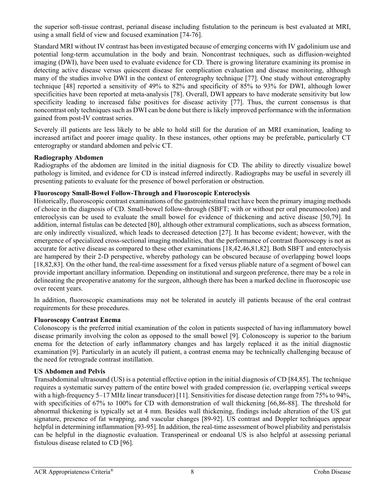the superior soft-tissue contrast, perianal disease including fistulation to the perineum is best evaluated at MRI, using a small field of view and focused examination [74-76].

Standard MRI without IV contrast has been investigated because of emerging concerns with IV gadolinium use and potential long-term accumulation in the body and brain. Noncontrast techniques, such as diffusion-weighted imaging (DWI), have been used to evaluate evidence for CD. There is growing literature examining its promise in detecting active disease versus quiescent disease for complication evaluation and disease monitoring, although many of the studies involve DWI in the context of enterography technique [77]. One study without enterography technique [48] reported a sensitivity of 49% to 82% and specificity of 85% to 93% for DWI, although lower specificities have been reported at meta-analysis [78]. Overall, DWI appears to have moderate sensitivity but low specificity leading to increased false positives for disease activity [77]. Thus, the current consensus is that noncontrast only techniques such as DWI can be done but there is likely improved performance with the information gained from post-IV contrast series.

Severely ill patients are less likely to be able to hold still for the duration of an MRI examination, leading to increased artifact and poorer image quality. In these instances, other options may be preferable, particularly CT enterography or standard abdomen and pelvic CT.

#### **Radiography Abdomen**

Radiographs of the abdomen are limited in the initial diagnosis for CD. The ability to directly visualize bowel pathology is limited, and evidence for CD is instead inferred indirectly. Radiographs may be useful in severely ill presenting patients to evaluate for the presence of bowel perforation or obstruction.

#### **Fluoroscopy Small-Bowel Follow-Through and Fluoroscopic Enteroclysis**

Historically, fluoroscopic contrast examinations of the gastrointestinal tract have been the primary imaging methods of choice in the diagnosis of CD. Small-bowel follow-through (SBFT; with or without per oral pneumocolon) and enteroclysis can be used to evaluate the small bowel for evidence of thickening and active disease [50,79]. In addition, internal fistulas can be detected [80], although other extramural complications, such as abscess formation, are only indirectly visualized, which leads to decreased detection [27]. It has become evident; however, with the emergence of specialized cross-sectional imaging modalities, that the performance of contrast fluoroscopy is not as accurate for active disease as compared to these other examinations [18,42,46,81,82]. Both SBFT and enteroclysis are hampered by their 2-D perspective, whereby pathology can be obscured because of overlapping bowel loops [18,82,83]. On the other hand, the real-time assessment for a fixed versus pliable nature of a segment of bowel can provide important ancillary information. Depending on institutional and surgeon preference, there may be a role in delineating the preoperative anatomy for the surgeon, although there has been a marked decline in fluoroscopic use over recent years.

In addition, fluoroscopic examinations may not be tolerated in acutely ill patients because of the oral contrast requirements for these procedures.

### **Fluoroscopy Contrast Enema**

Colonoscopy is the preferred initial examination of the colon in patients suspected of having inflammatory bowel disease primarily involving the colon as opposed to the small bowel [9]. Colonoscopy is superior to the barium enema for the detection of early inflammatory changes and has largely replaced it as the initial diagnostic examination [9]. Particularly in an acutely ill patient, a contrast enema may be technically challenging because of the need for retrograde contrast instillation.

### **US Abdomen and Pelvis**

Transabdominal ultrasound (US) is a potential effective option in the initial diagnosis of CD [84,85]. The technique requires a systematic survey pattern of the entire bowel with graded compression (ie, overlapping vertical sweeps with a high-frequency 5–17 MHz linear transducer) [11]. Sensitivities for disease detection range from 75% to 94%, with specificities of 67% to 100% for CD with demonstration of wall thickening [66,86-88]. The threshold for abnormal thickening is typically set at 4 mm. Besides wall thickening, findings include alteration of the US gut signature, presence of fat wrapping, and vascular changes [89-92]. US contrast and Doppler techniques appear helpful in determining inflammation [93-95]. In addition, the real-time assessment of bowel pliability and peristalsis can be helpful in the diagnostic evaluation. Transperineal or endoanal US is also helpful at assessing perianal fistulous disease related to CD [96].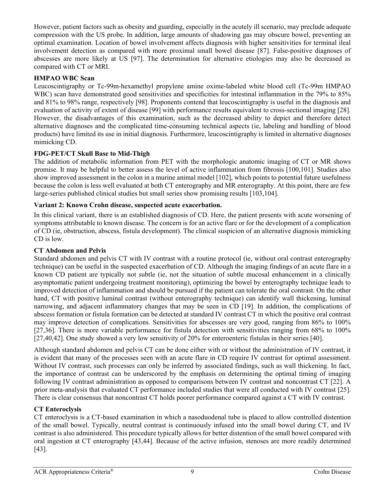However, patient factors such as obesity and guarding, especially in the acutely ill scenario, may preclude adequate compression with the US probe. In addition, large amounts of shadowing gas may obscure bowel, preventing an optimal examination. Location of bowel involvement affects diagnosis with higher sensitivities for terminal ileal involvement detection as compared with more proximal small bowel disease [87]. False-positive diagnoses of abscesses are more likely at US [97]. The determination for alternative etiologies may also be decreased as compared with CT or MRI.

# **HMPAO WBC Scan**

Leucoscintigraphy or Tc-99m-hexamethyl propylene amine oxime-labeled white blood cell (Tc-99m HMPAO WBC) scan have demonstrated good sensitivities and specificities for intestinal inflammation in the 79% to 85% and 81% to 98% range, respectively [98]. Proponents contend that leucoscintigraphy is useful in the diagnosis and evaluation of activity of extent of disease [99] with performance results equivalent to cross-sectional imaging [28]. However, the disadvantages of this examination, such as the decreased ability to depict and therefore detect alternative diagnoses and the complicated time-consuming technical aspects (ie, labeling and handling of blood products) have limited its use in initial diagnosis. Furthermore, leucoscintigraphy is limited in alternative diagnoses mimicking CD.

# **FDG-PET/CT Skull Base to Mid-Thigh**

The addition of metabolic information from PET with the morphologic anatomic imaging of CT or MR shows promise. It may be helpful to better assess the level of active inflammation from fibrosis [100,101]. Studies also show improved assessment in the colon in a murine animal model [102], which points to potential future usefulness because the colon is less well evaluated at both CT enterography and MR enterography. At this point, there are few large-series published clinical studies but small series show promising results [103,104].

### **Variant 2: Known Crohn disease, suspected acute exacerbation.**

In this clinical variant, there is an established diagnosis of CD. Here, the patient presents with acute worsening of symptoms attributable to known disease. The concern is for an active flare or for the development of a complication of CD (ie, obstruction, abscess, fistula development). The clinical suspicion of an alternative diagnosis mimicking CD is low.

#### **CT Abdomen and Pelvis**

Standard abdomen and pelvis CT with IV contrast with a routine protocol (ie, without oral contrast enterography technique) can be useful in the suspected exacerbation of CD. Although the imaging findings of an acute flare in a known CD patient are typically not subtle (ie, not the situation of subtle mucosal enhancement in a clinically asymptomatic patient undergoing treatment monitoring), optimizing the bowel by enterography technique leads to improved detection of inflammation and should be pursued if the patient can tolerate the oral contrast. On the other hand, CT with positive luminal contrast (without enterography technique) can identify wall thickening, luminal narrowing, and adjacent inflammatory changes that may be seen in CD [19]. In addition, the complications of abscess formation or fistula formation can be detected at standard IV contrast CT in which the positive oral contrast may improve detection of complications. Sensitivities for abscesses are very good, ranging from 86% to 100% [27,36]. There is more variable performance for fistula detection with sensitivities ranging from 68% to 100% [27,40,42]. One study showed a very low sensitivity of 20% for enteroenteric fistulas in their series [40].

Although standard abdomen and pelvis CT can be done either with or without the administration of IV contrast, it is evident that many of the processes seen with an acute flare in CD require IV contrast for optimal assessment. Without IV contrast, such processes can only be inferred by associated findings, such as wall thickening. In fact, the importance of contrast can be underscored by the emphasis on determining the optimal timing of imaging following IV contrast administration as opposed to comparisons between IV contrast and noncontrast CT [22]. A prior meta-analysis that evaluated CT performance included studies that were all conducted with IV contrast [25]. There is clear consensus that noncontrast CT holds poorer performance compared against a CT with IV contrast.

### **CT Enteroclysis**

CT enteroclysis is a CT-based examination in which a nasoduodenal tube is placed to allow controlled distention of the small bowel. Typically, neutral contrast is continuously infused into the small bowel during CT, and IV contrast is also administered. This procedure typically allows for better distention of the small bowel compared with oral ingestion at CT enterography [43,44]. Because of the active infusion, stenoses are more readily determined [43].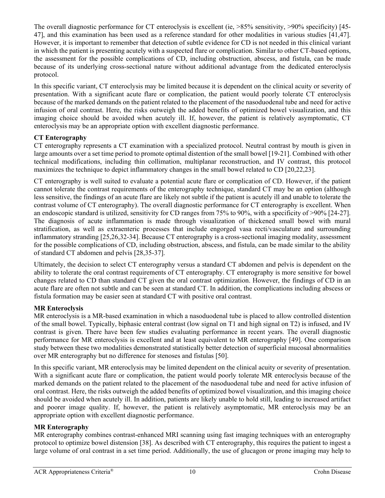The overall diagnostic performance for CT enteroclysis is excellent (ie,  $>85\%$  sensitivity,  $>90\%$  specificity) [45-47], and this examination has been used as a reference standard for other modalities in various studies [41,47]. However, it is important to remember that detection of subtle evidence for CD is not needed in this clinical variant in which the patient is presenting acutely with a suspected flare or complication. Similar to other CT-based options, the assessment for the possible complications of CD, including obstruction, abscess, and fistula, can be made because of its underlying cross-sectional nature without additional advantage from the dedicated enteroclysis protocol.

In this specific variant, CT enteroclysis may be limited because it is dependent on the clinical acuity or severity of presentation. With a significant acute flare or complication, the patient would poorly tolerate CT enteroclysis because of the marked demands on the patient related to the placement of the nasoduodenal tube and need for active infusion of oral contrast. Here, the risks outweigh the added benefits of optimized bowel visualization, and this imaging choice should be avoided when acutely ill. If, however, the patient is relatively asymptomatic, CT enteroclysis may be an appropriate option with excellent diagnostic performance.

# **CT Enterography**

CT enterography represents a CT examination with a specialized protocol. Neutral contrast by mouth is given in large amounts over a set time period to promote optimal distention of the small bowel [19-21]. Combined with other technical modifications, including thin collimation, multiplanar reconstruction, and IV contrast, this protocol maximizes the technique to depict inflammatory changes in the small bowel related to CD [20,22,23].

CT enterography is well suited to evaluate a potential acute flare or complication of CD. However, if the patient cannot tolerate the contrast requirements of the enterography technique, standard CT may be an option (although less sensitive, the findings of an acute flare are likely not subtle if the patient is acutely ill and unable to tolerate the contrast volume of CT enterography). The overall diagnostic performance for CT enterography is excellent. When an endoscopic standard is utilized, sensitivity for CD ranges from 75% to 90%, with a specificity of >90% [24-27]. The diagnosis of acute inflammation is made through visualization of thickened small bowel with mural stratification, as well as extraenteric processes that include engorged vasa recti/vasculature and surrounding inflammatory stranding [25,26,32-34]. Because CT enterography is a cross-sectional imaging modality, assessment for the possible complications of CD, including obstruction, abscess, and fistula, can be made similar to the ability of standard CT abdomen and pelvis [28,35-37].

Ultimately, the decision to select CT enterography versus a standard CT abdomen and pelvis is dependent on the ability to tolerate the oral contrast requirements of CT enterography. CT enterography is more sensitive for bowel changes related to CD than standard CT given the oral contrast optimization. However, the findings of CD in an acute flare are often not subtle and can be seen at standard CT. In addition, the complications including abscess or fistula formation may be easier seen at standard CT with positive oral contrast.

# **MR Enteroclysis**

MR enteroclysis is a MR-based examination in which a nasoduodenal tube is placed to allow controlled distention of the small bowel. Typically, biphasic enteral contrast (low signal on T1 and high signal on T2) is infused, and IV contrast is given. There have been few studies evaluating performance in recent years. The overall diagnostic performance for MR enteroclysis is excellent and at least equivalent to MR enterography [49]. One comparison study between these two modalities demonstrated statistically better detection of superficial mucosal abnormalities over MR enterography but no difference for stenoses and fistulas [50].

In this specific variant, MR enteroclysis may be limited dependent on the clinical acuity or severity of presentation. With a significant acute flare or complication, the patient would poorly tolerate MR enteroclysis because of the marked demands on the patient related to the placement of the nasoduodenal tube and need for active infusion of oral contrast. Here, the risks outweigh the added benefits of optimized bowel visualization, and this imaging choice should be avoided when acutely ill. In addition, patients are likely unable to hold still, leading to increased artifact and poorer image quality. If, however, the patient is relatively asymptomatic, MR enteroclysis may be an appropriate option with excellent diagnostic performance.

# **MR Enterography**

MR enterography combines contrast-enhanced MRI scanning using fast imaging techniques with an enterography protocol to optimize bowel distension [38]. As described with CT enterography, this requires the patient to ingest a large volume of oral contrast in a set time period. Additionally, the use of glucagon or prone imaging may help to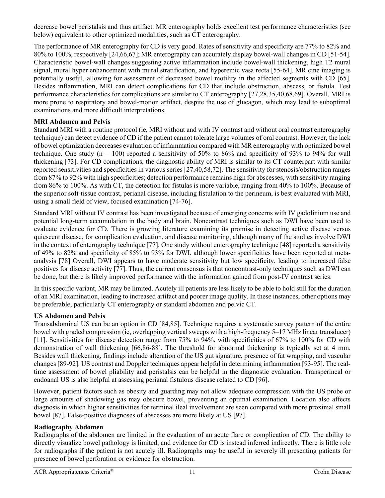decrease bowel peristalsis and thus artifact. MR enterography holds excellent test performance characteristics (see below) equivalent to other optimized modalities, such as CT enterography.

The performance of MR enterography for CD is very good. Rates of sensitivity and specificity are 77% to 82% and 80% to 100%, respectively [24,66,67]; MR enterography can accurately display bowel-wall changes in CD [51-54]. Characteristic bowel-wall changes suggesting active inflammation include bowel-wall thickening, high T2 mural signal, mural hyper enhancement with mural stratification, and hyperemic vasa recta [55-64]. MR cine imaging is potentially useful, allowing for assessment of decreased bowel motility in the affected segments with CD [65]. Besides inflammation, MRI can detect complications for CD that include obstruction, abscess, or fistula. Test performance characteristics for complications are similar to CT enterography [27,28,35,40,68,69]. Overall, MRI is more prone to respiratory and bowel-motion artifact, despite the use of glucagon, which may lead to suboptimal examinations and more difficult interpretations.

# **MRI Abdomen and Pelvis**

Standard MRI with a routine protocol (ie, MRI without and with IV contrast and without oral contrast enterography technique) can detect evidence of CD if the patient cannot tolerate large volumes of oral contrast. However, the lack of bowel optimization decreases evaluation of inflammation compared with MR enterography with optimized bowel technique. One study ( $n = 100$ ) reported a sensitivity of 50% to 86% and specificity of 93% to 94% for wall thickening [73]. For CD complications, the diagnostic ability of MRI is similar to its CT counterpart with similar reported sensitivities and specificities in various series [27,40,58,72]. The sensitivity for stenosis/obstruction ranges from 87% to 92% with high specificities; detection performance remains high for abscesses, with sensitivity ranging from 86% to 100%. As with CT, the detection for fistulas is more variable, ranging from 40% to 100%. Because of the superior soft-tissue contrast, perianal disease, including fistulation to the perineum, is best evaluated with MRI, using a small field of view, focused examination [74-76].

Standard MRI without IV contrast has been investigated because of emerging concerns with IV gadolinium use and potential long-term accumulation in the body and brain. Noncontrast techniques such as DWI have been used to evaluate evidence for CD. There is growing literature examining its promise in detecting active disease versus quiescent disease, for complication evaluation, and disease monitoring, although many of the studies involve DWI in the context of enterography technique [77]. One study without enterography technique [48] reported a sensitivity of 49% to 82% and specificity of 85% to 93% for DWI, although lower specificities have been reported at metaanalysis [78] Overall, DWI appears to have moderate sensitivity but low specificity, leading to increased false positives for disease activity [77]. Thus, the current consensus is that noncontrast-only techniques such as DWI can be done, but there is likely improved performance with the information gained from post-IV contrast series.

In this specific variant, MR may be limited. Acutely ill patients are less likely to be able to hold still for the duration of an MRI examination, leading to increased artifact and poorer image quality. In these instances, other options may be preferable, particularly CT enterography or standard abdomen and pelvic CT.

# **US Abdomen and Pelvis**

Transabdominal US can be an option in CD [84,85]. Technique requires a systematic survey pattern of the entire bowel with graded compression (ie, overlapping vertical sweeps with a high-frequency 5–17 MHz linear transducer) [11]. Sensitivities for disease detection range from 75% to 94%, with specificities of 67% to 100% for CD with demonstration of wall thickening [66,86-88]. The threshold for abnormal thickening is typically set at 4 mm. Besides wall thickening, findings include alteration of the US gut signature, presence of fat wrapping, and vascular changes [89-92]. US contrast and Doppler techniques appear helpful in determining inflammation [93-95]. The realtime assessment of bowel pliability and peristalsis can be helpful in the diagnostic evaluation. Transperineal or endoanal US is also helpful at assessing perianal fistulous disease related to CD [96].

However, patient factors such as obesity and guarding may not allow adequate compression with the US probe or large amounts of shadowing gas may obscure bowel, preventing an optimal examination. Location also affects diagnosis in which higher sensitivities for terminal ileal involvement are seen compared with more proximal small bowel [87]. False-positive diagnoses of abscesses are more likely at US [97].

### **Radiography Abdomen**

Radiographs of the abdomen are limited in the evaluation of an acute flare or complication of CD. The ability to directly visualize bowel pathology is limited, and evidence for CD is instead inferred indirectly. There is little role for radiographs if the patient is not acutely ill. Radiographs may be useful in severely ill presenting patients for presence of bowel perforation or evidence for obstruction.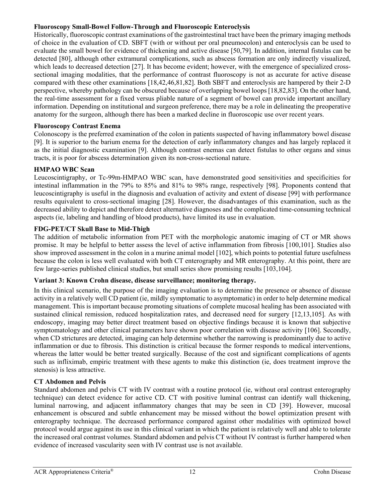### **Fluoroscopy Small-Bowel Follow-Through and Fluoroscopic Enteroclysis**

Historically, fluoroscopic contrast examinations of the gastrointestinal tract have been the primary imaging methods of choice in the evaluation of CD. SBFT (with or without per oral pneumocolon) and enteroclysis can be used to evaluate the small bowel for evidence of thickening and active disease [50,79]. In addition, internal fistulas can be detected [80], although other extramural complications, such as abscess formation are only indirectly visualized, which leads to decreased detection [27]. It has become evident; however, with the emergence of specialized crosssectional imaging modalities, that the performance of contrast fluoroscopy is not as accurate for active disease compared with these other examinations [18,42,46,81,82]. Both SBFT and enteroclysis are hampered by their 2-D perspective, whereby pathology can be obscured because of overlapping bowel loops [18,82,83]. On the other hand, the real-time assessment for a fixed versus pliable nature of a segment of bowel can provide important ancillary information. Depending on institutional and surgeon preference, there may be a role in delineating the preoperative anatomy for the surgeon, although there has been a marked decline in fluoroscopic use over recent years.

### **Fluoroscopy Contrast Enema**

Colonoscopy is the preferred examination of the colon in patients suspected of having inflammatory bowel disease [9]. It is superior to the barium enema for the detection of early inflammatory changes and has largely replaced it as the initial diagnostic examination [9]. Although contrast enemas can detect fistulas to other organs and sinus tracts, it is poor for abscess determination given its non-cross-sectional nature.

### **HMPAO WBC Scan**

Leucoscintigraphy, or Tc-99m-HMPAO WBC scan, have demonstrated good sensitivities and specificities for intestinal inflammation in the 79% to 85% and 81% to 98% range, respectively [98]. Proponents contend that leucoscintigraphy is useful in the diagnosis and evaluation of activity and extent of disease [99] with performance results equivalent to cross-sectional imaging [28]. However, the disadvantages of this examination, such as the decreased ability to depict and therefore detect alternative diagnoses and the complicated time-consuming technical aspects (ie, labeling and handling of blood products), have limited its use in evaluation.

### **FDG-PET/CT Skull Base to Mid-Thigh**

The addition of metabolic information from PET with the morphologic anatomic imaging of CT or MR shows promise. It may be helpful to better assess the level of active inflammation from fibrosis [100,101]. Studies also show improved assessment in the colon in a murine animal model [102], which points to potential future usefulness because the colon is less well evaluated with both CT enterography and MR enterography. At this point, there are few large-series published clinical studies, but small series show promising results [103,104].

### **Variant 3: Known Crohn disease, disease surveillance; monitoring therapy.**

In this clinical scenario, the purpose of the imaging evaluation is to determine the presence or absence of disease activity in a relatively well CD patient (ie, mildly symptomatic to asymptomatic) in order to help determine medical management. This is important because promoting situations of complete mucosal healing has been associated with sustained clinical remission, reduced hospitalization rates, and decreased need for surgery [12,13,105]. As with endoscopy, imaging may better direct treatment based on objective findings because it is known that subjective symptomatology and other clinical parameters have shown poor correlation with disease activity [106]. Secondly, when CD strictures are detected, imaging can help determine whether the narrowing is predominantly due to active inflammation or due to fibrosis. This distinction is critical because the former responds to medical interventions, whereas the latter would be better treated surgically. Because of the cost and significant complications of agents such as infliximab, empiric treatment with these agents to make this distinction (ie, does treatment improve the stenosis) is less attractive.

### **CT Abdomen and Pelvis**

Standard abdomen and pelvis CT with IV contrast with a routine protocol (ie, without oral contrast enterography technique) can detect evidence for active CD. CT with positive luminal contrast can identify wall thickening, luminal narrowing, and adjacent inflammatory changes that may be seen in CD [39]. However, mucosal enhancement is obscured and subtle enhancement may be missed without the bowel optimization present with enterography technique. The decreased performance compared against other modalities with optimized bowel protocol would argue against its use in this clinical variant in which the patient is relatively well and able to tolerate the increased oral contrast volumes. Standard abdomen and pelvis CT without IV contrast is further hampered when evidence of increased vascularity seen with IV contrast use is not available.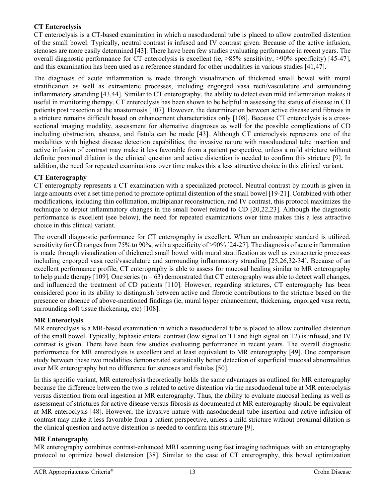# **CT Enteroclysis**

CT enteroclysis is a CT-based examination in which a nasoduodenal tube is placed to allow controlled distention of the small bowel. Typically, neutral contrast is infused and IV contrast given. Because of the active infusion, stenoses are more easily determined [43]. There have been few studies evaluating performance in recent years. The overall diagnostic performance for CT enteroclysis is excellent (ie, >85% sensitivity, >90% specificity) [45-47], and this examination has been used as a reference standard for other modalities in various studies [41,47].

The diagnosis of acute inflammation is made through visualization of thickened small bowel with mural stratification as well as extraenteric processes, including engorged vasa recti/vasculature and surrounding inflammatory stranding [43,44]. Similar to CT enterography, the ability to detect even mild inflammation makes it useful in monitoring therapy. CT enteroclysis has been shown to be helpful in assessing the status of disease in CD patients post resection at the anastomosis [107]. However, the determination between active disease and fibrosis in a stricture remains difficult based on enhancement characteristics only [108]. Because CT enteroclysis is a crosssectional imaging modality, assessment for alternative diagnoses as well for the possible complications of CD including obstruction, abscess, and fistula can be made [43]. Although CT enteroclysis represents one of the modalities with highest disease detection capabilities, the invasive nature with nasoduodenal tube insertion and active infusion of contrast may make it less favorable from a patient perspective, unless a mild stricture without definite proximal dilation is the clinical question and active distention is needed to confirm this stricture [9]. In addition, the need for repeated examinations over time makes this a less attractive choice in this clinical variant.

# **CT Enterography**

CT enterography represents a CT examination with a specialized protocol. Neutral contrast by mouth is given in large amounts over a set time period to promote optimal distention of the small bowel [19-21]. Combined with other modifications, including thin collimation, multiplanar reconstruction, and IV contrast, this protocol maximizes the technique to depict inflammatory changes in the small bowel related to CD [20,22,23]. Although the diagnostic performance is excellent (see below), the need for repeated examinations over time makes this a less attractive choice in this clinical variant.

The overall diagnostic performance for CT enterography is excellent. When an endoscopic standard is utilized, sensitivity for CD ranges from 75% to 90%, with a specificity of >90% [24-27]. The diagnosis of acute inflammation is made through visualization of thickened small bowel with mural stratification as well as extraenteric processes including engorged vasa recti/vasculature and surrounding inflammatory stranding [25,26,32-34]. Because of an excellent performance profile, CT enterography is able to assess for mucosal healing similar to MR enterography to help guide therapy [109]. One series  $(n = 63)$  demonstrated that CT enterography was able to detect wall changes, and influenced the treatment of CD patients [110]. However, regarding strictures, CT enterography has been considered poor in its ability to distinguish between active and fibrotic contributions to the stricture based on the presence or absence of above-mentioned findings (ie, mural hyper enhancement, thickening, engorged vasa recta, surrounding soft tissue thickening, etc) [108].

### **MR Enteroclysis**

MR enteroclysis is a MR-based examination in which a nasoduodenal tube is placed to allow controlled distention of the small bowel. Typically, biphasic enteral contrast (low signal on T1 and high signal on T2) is infused, and IV contrast is given. There have been few studies evaluating performance in recent years. The overall diagnostic performance for MR enteroclysis is excellent and at least equivalent to MR enterography [49]. One comparison study between these two modalities demonstrated statistically better detection of superficial mucosal abnormalities over MR enterography but no difference for stenoses and fistulas [50].

In this specific variant, MR enteroclysis theoretically holds the same advantages as outlined for MR enterography because the difference between the two is related to active distention via the nasoduodenal tube at MR enteroclysis versus distention from oral ingestion at MR enterography. Thus, the ability to evaluate mucosal healing as well as assessment of strictures for active disease versus fibrosis as documented at MR enterography should be equivalent at MR enteroclysis [48]. However, the invasive nature with nasoduodenal tube insertion and active infusion of contrast may make it less favorable from a patient perspective, unless a mild stricture without proximal dilation is the clinical question and active distention is needed to confirm this stricture [9].

# **MR Enterography**

MR enterography combines contrast-enhanced MRI scanning using fast imaging techniques with an enterography protocol to optimize bowel distension [38]. Similar to the case of CT enterography, this bowel optimization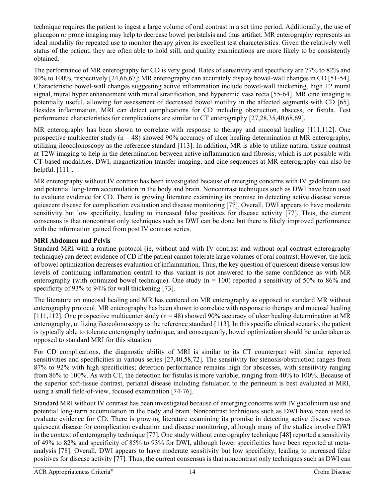technique requires the patient to ingest a large volume of oral contrast in a set time period. Additionally, the use of glucagon or prone imaging may help to decrease bowel peristalsis and thus artifact. MR enterography represents an ideal modality for repeated use to monitor therapy given its excellent test characteristics. Given the relatively well status of the patient, they are often able to hold still, and quality examinations are more likely to be consistently obtained.

The performance of MR enterography for CD is very good. Rates of sensitivity and specificity are 77% to 82% and 80% to 100%, respectively [24,66,67]; MR enterography can accurately display bowel-wall changes in CD [51-54]. Characteristic bowel-wall changes suggesting active inflammation include bowel-wall thickening, high T2 mural signal, mural hyper enhancement with mural stratification, and hyperemic vasa recta [55-64]. MR cine imaging is potentially useful, allowing for assessment of decreased bowel motility in the affected segments with CD [65]. Besides inflammation, MRI can detect complications for CD including obstruction, abscess, or fistula. Test performance characteristics for complications are similar to CT enterography [27,28,35,40,68,69].

MR enterography has been shown to correlate with response to therapy and mucosal healing [111,112]. One prospective multicenter study ( $n = 48$ ) showed 90% accuracy of ulcer healing determination at MR enterography, utilizing ileocolonoscopy as the reference standard [113]. In addition, MR is able to utilize natural tissue contrast at T2W imaging to help in the determination between active inflammation and fibrosis, which is not possible with CT-based modalities. DWI, magnetization transfer imaging, and cine sequences at MR enterography can also be helpful. [111].

MR enterography without IV contrast has been investigated because of emerging concerns with IV gadolinium use and potential long-term accumulation in the body and brain. Noncontrast techniques such as DWI have been used to evaluate evidence for CD. There is growing literature examining its promise in detecting active disease versus quiescent disease for complication evaluation and disease monitoring [77]. Overall, DWI appears to have moderate sensitivity but low specificity, leading to increased false positives for disease activity [77]. Thus, the current consensus is that noncontrast only techniques such as DWI can be done but there is likely improved performance with the information gained from post IV contrast series.

# **MRI Abdomen and Pelvis**

Standard MRI with a routine protocol (ie, without and with IV contrast and without oral contrast enterography technique) can detect evidence of CD if the patient cannot tolerate large volumes of oral contrast. However, the lack of bowel optimization decreases evaluation of inflammation. Thus, the key question of quiescent disease versus low levels of continuing inflammation central to this variant is not answered to the same confidence as with MR enterography (with optimized bowel technique). One study  $(n = 100)$  reported a sensitivity of 50% to 86% and specificity of 93% to 94% for wall thickening [73].

The literature on mucosal healing and MR has centered on MR enterography as opposed to standard MR without enterography protocol. MR enterography has been shown to correlate with response to therapy and mucosal healing [111,112]. One prospective multicenter study ( $n = 48$ ) showed 90% accuracy of ulcer healing determination at MR enterography, utilizing ileocolonoscopy as the reference standard [113]. In this specific clinical scenario, the patient is typically able to tolerate enterography technique, and consequently, bowel optimization should be undertaken as opposed to standard MRI for this situation.

For CD complications, the diagnostic ability of MRI is similar to its CT counterpart with similar reported sensitivities and specificities in various series [27,40,58,72]. The sensitivity for stenosis/obstruction ranges from 87% to 92% with high specificities; detection performance remains high for abscesses, with sensitivity ranging from 86% to 100%. As with CT, the detection for fistulas is more variable, ranging from 40% to 100%. Because of the superior soft-tissue contrast, perianal disease including fistulation to the perineum is best evaluated at MRI, using a small field-of-view, focused examination [74-76].

Standard MRI without IV contrast has been investigated because of emerging concerns with IV gadolinium use and potential long-term accumulation in the body and brain. Noncontrast techniques such as DWI have been used to evaluate evidence for CD. There is growing literature examining its promise in detecting active disease versus quiescent disease for complication evaluation and disease monitoring, although many of the studies involve DWI in the context of enterography technique [77]. One study without enterography technique [48] reported a sensitivity of 49% to 82% and specificity of 85% to 93% for DWI, although lower specificities have been reported at metaanalysis [78]. Overall, DWI appears to have moderate sensitivity but low specificity, leading to increased false positives for disease activity [77]. Thus, the current consensus is that noncontrast only techniques such as DWI can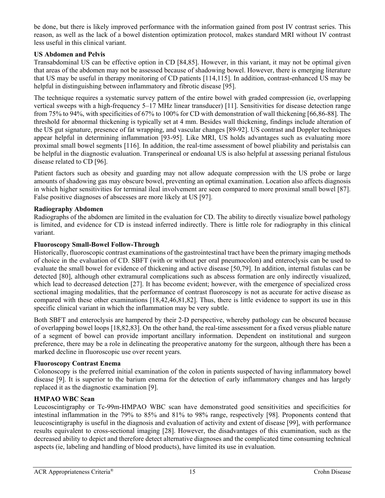be done, but there is likely improved performance with the information gained from post IV contrast series. This reason, as well as the lack of a bowel distention optimization protocol, makes standard MRI without IV contrast less useful in this clinical variant.

# **US Abdomen and Pelvis**

Transabdominal US can be effective option in CD [84,85]. However, in this variant, it may not be optimal given that areas of the abdomen may not be assessed because of shadowing bowel. However, there is emerging literature that US may be useful in therapy monitoring of CD patients [114,115]. In addition, contrast-enhanced US may be helpful in distinguishing between inflammatory and fibrotic disease [95].

The technique requires a systematic survey pattern of the entire bowel with graded compression (ie, overlapping vertical sweeps with a high-frequency 5–17 MHz linear transducer) [11]. Sensitivities for disease detection range from 75% to 94%, with specificities of 67% to 100% for CD with demonstration of wall thickening [66,86-88]. The threshold for abnormal thickening is typically set at 4 mm. Besides wall thickening, findings include alteration of the US gut signature, presence of fat wrapping, and vascular changes [89-92]. US contrast and Doppler techniques appear helpful in determining inflammation [93-95]. Like MRI, US holds advantages such as evaluating more proximal small bowel segments [116]. In addition, the real-time assessment of bowel pliability and peristalsis can be helpful in the diagnostic evaluation. Transperineal or endoanal US is also helpful at assessing perianal fistulous disease related to CD [96].

Patient factors such as obesity and guarding may not allow adequate compression with the US probe or large amounts of shadowing gas may obscure bowel, preventing an optimal examination. Location also affects diagnosis in which higher sensitivities for terminal ileal involvement are seen compared to more proximal small bowel [87]. False positive diagnoses of abscesses are more likely at US [97].

### **Radiography Abdomen**

Radiographs of the abdomen are limited in the evaluation for CD. The ability to directly visualize bowel pathology is limited, and evidence for CD is instead inferred indirectly. There is little role for radiography in this clinical variant.

### **Fluoroscopy Small-Bowel Follow-Through**

Historically, fluoroscopic contrast examinations of the gastrointestinal tract have been the primary imaging methods of choice in the evaluation of CD. SBFT (with or without per oral pneumocolon) and enteroclysis can be used to evaluate the small bowel for evidence of thickening and active disease [50,79]. In addition, internal fistulas can be detected [80], although other extramural complications such as abscess formation are only indirectly visualized, which lead to decreased detection [27]. It has become evident; however, with the emergence of specialized cross sectional imaging modalities, that the performance of contrast fluoroscopy is not as accurate for active disease as compared with these other examinations [18,42,46,81,82]. Thus, there is little evidence to support its use in this specific clinical variant in which the inflammation may be very subtle.

Both SBFT and enteroclysis are hampered by their 2-D perspective, whereby pathology can be obscured because of overlapping bowel loops [18,82,83]. On the other hand, the real-time assessment for a fixed versus pliable nature of a segment of bowel can provide important ancillary information. Dependent on institutional and surgeon preference, there may be a role in delineating the preoperative anatomy for the surgeon, although there has been a marked decline in fluoroscopic use over recent years.

# **Fluoroscopy Contrast Enema**

Colonoscopy is the preferred initial examination of the colon in patients suspected of having inflammatory bowel disease [9]. It is superior to the barium enema for the detection of early inflammatory changes and has largely replaced it as the diagnostic examination [9].

# **HMPAO WBC Scan**

Leucoscintigraphy or Tc-99m-HMPAO WBC scan have demonstrated good sensitivities and specificities for intestinal inflammation in the 79% to 85% and 81% to 98% range, respectively [98]. Proponents contend that leucoscintigraphy is useful in the diagnosis and evaluation of activity and extent of disease [99], with performance results equivalent to cross-sectional imaging [28]. However, the disadvantages of this examination, such as the decreased ability to depict and therefore detect alternative diagnoses and the complicated time consuming technical aspects (ie, labeling and handling of blood products), have limited its use in evaluation.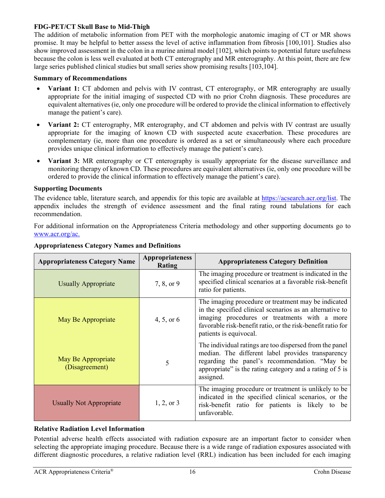#### **FDG-PET/CT Skull Base to Mid-Thigh**

The addition of metabolic information from PET with the morphologic anatomic imaging of CT or MR shows promise. It may be helpful to better assess the level of active inflammation from fibrosis [100,101]. Studies also show improved assessment in the colon in a murine animal model [102], which points to potential future usefulness because the colon is less well evaluated at both CT enterography and MR enterography. At this point, there are few large series published clinical studies but small series show promising results [103,104].

#### **Summary of Recommendations**

- **Variant 1:** CT abdomen and pelvis with IV contrast, CT enterography, or MR enterography are usually appropriate for the initial imaging of suspected CD with no prior Crohn diagnosis. These procedures are equivalent alternatives (ie, only one procedure will be ordered to provide the clinical information to effectively manage the patient's care).
- **Variant 2:** CT enterography, MR enterography, and CT abdomen and pelvis with IV contrast are usually appropriate for the imaging of known CD with suspected acute exacerbation. These procedures are complementary (ie, more than one procedure is ordered as a set or simultaneously where each procedure provides unique clinical information to effectively manage the patient's care).
- **Variant 3:** MR enterography or CT enterography is usually appropriate for the disease surveillance and monitoring therapy of known CD. These procedures are equivalent alternatives (ie, only one procedure will be ordered to provide the clinical information to effectively manage the patient's care).

#### **Supporting Documents**

The evidence table, literature search, and appendix for this topic are available at [https://acsearch.acr.org/list.](https://acsearch.acr.org/list) The appendix includes the strength of evidence assessment and the final rating round tabulations for each recommendation.

For additional information on the Appropriateness Criteria methodology and other supporting documents go to [www.acr.org/ac.](https://www.acr.org/Clinical-Resources/ACR-Appropriateness-Criteria)

| <b>Appropriateness Category Name</b> | <b>Appropriateness</b><br>Rating | <b>Appropriateness Category Definition</b>                                                                                                                                                                                                               |
|--------------------------------------|----------------------------------|----------------------------------------------------------------------------------------------------------------------------------------------------------------------------------------------------------------------------------------------------------|
| <b>Usually Appropriate</b>           | 7, 8, or 9                       | The imaging procedure or treatment is indicated in the<br>specified clinical scenarios at a favorable risk-benefit<br>ratio for patients.                                                                                                                |
| May Be Appropriate                   | 4, 5, or $6$                     | The imaging procedure or treatment may be indicated<br>in the specified clinical scenarios as an alternative to<br>imaging procedures or treatments with a more<br>favorable risk-benefit ratio, or the risk-benefit ratio for<br>patients is equivocal. |
| May Be Appropriate<br>(Disagreement) | 5                                | The individual ratings are too dispersed from the panel<br>median. The different label provides transparency<br>regarding the panel's recommendation. "May be<br>appropriate" is the rating category and a rating of 5 is<br>assigned.                   |
| <b>Usually Not Appropriate</b>       | $1, 2,$ or 3                     | The imaging procedure or treatment is unlikely to be<br>indicated in the specified clinical scenarios, or the<br>risk-benefit ratio for patients is likely to be<br>unfavorable.                                                                         |

# **Appropriateness Category Names and Definitions**

### **Relative Radiation Level Information**

Potential adverse health effects associated with radiation exposure are an important factor to consider when selecting the appropriate imaging procedure. Because there is a wide range of radiation exposures associated with different diagnostic procedures, a relative radiation level (RRL) indication has been included for each imaging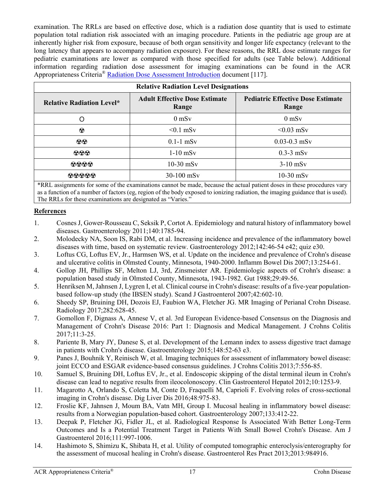examination. The RRLs are based on effective dose, which is a radiation dose quantity that is used to estimate population total radiation risk associated with an imaging procedure. Patients in the pediatric age group are at inherently higher risk from exposure, because of both organ sensitivity and longer life expectancy (relevant to the long latency that appears to accompany radiation exposure). For these reasons, the RRL dose estimate ranges for pediatric examinations are lower as compared with those specified for adults (see Table below). Additional information regarding radiation dose assessment for imaging examinations can be found in the ACR Appropriateness Criteria® Radiation Dose Assessment [Introduction](https://www.acr.org/-/media/ACR/Files/Appropriateness-Criteria/RadiationDoseAssessmentIntro.pdf) document [117].

| <b>Relative Radiation Level Designations</b> |                                               |                                                   |  |  |
|----------------------------------------------|-----------------------------------------------|---------------------------------------------------|--|--|
| <b>Relative Radiation Level*</b>             | <b>Adult Effective Dose Estimate</b><br>Range | <b>Pediatric Effective Dose Estimate</b><br>Range |  |  |
| Ω                                            | $0$ mS <sub>v</sub>                           | $0$ mS <sub>v</sub>                               |  |  |
| ☺                                            | $< 0.1$ mSv                                   | $< 0.03$ mSv                                      |  |  |
| $\odot\odot$                                 | $0.1-1$ mSv                                   | $0.03 - 0.3$ mSv                                  |  |  |
| $\odot \odot \odot$                          | $1-10$ mSv                                    | $0.3-3$ mSv                                       |  |  |
| 0000                                         | $10-30$ mSv                                   | $3-10$ mSv                                        |  |  |
| 00000                                        | 30-100 mSv                                    | $10-30$ mSv                                       |  |  |

\*RRL assignments for some of the examinations cannot be made, because the actual patient doses in these procedures vary as a function of a number of factors (eg, region of the body exposed to ionizing radiation, the imaging guidance that is used). The RRLs for these examinations are designated as "Varies."

# **References**

- 1. Cosnes J, Gower-Rousseau C, Seksik P, Cortot A. Epidemiology and natural history of inflammatory bowel diseases. Gastroenterology 2011;140:1785-94.
- 2. Molodecky NA, Soon IS, Rabi DM, et al. Increasing incidence and prevalence of the inflammatory bowel diseases with time, based on systematic review. Gastroenterology 2012;142:46-54 e42; quiz e30.
- 3. Loftus CG, Loftus EV, Jr., Harmsen WS, et al. Update on the incidence and prevalence of Crohn's disease and ulcerative colitis in Olmsted County, Minnesota, 1940-2000. Inflamm Bowel Dis 2007;13:254-61.
- 4. Gollop JH, Phillips SF, Melton LJ, 3rd, Zinsmeister AR. Epidemiologic aspects of Crohn's disease: a population based study in Olmsted County, Minnesota, 1943-1982. Gut 1988;29:49-56.
- 5. Henriksen M, Jahnsen J, Lygren I, et al. Clinical course in Crohn's disease: results of a five-year populationbased follow-up study (the IBSEN study). Scand J Gastroenterol 2007;42:602-10.
- 6. Sheedy SP, Bruining DH, Dozois EJ, Faubion WA, Fletcher JG. MR Imaging of Perianal Crohn Disease. Radiology 2017;282:628-45.
- 7. Gomollon F, Dignass A, Annese V, et al. 3rd European Evidence-based Consensus on the Diagnosis and Management of Crohn's Disease 2016: Part 1: Diagnosis and Medical Management. J Crohns Colitis 2017;11:3-25.
- 8. Pariente B, Mary JY, Danese S, et al. Development of the Lemann index to assess digestive tract damage in patients with Crohn's disease. Gastroenterology 2015;148:52-63 e3.
- 9. Panes J, Bouhnik Y, Reinisch W, et al. Imaging techniques for assessment of inflammatory bowel disease: joint ECCO and ESGAR evidence-based consensus guidelines. J Crohns Colitis 2013;7:556-85.
- 10. Samuel S, Bruining DH, Loftus EV, Jr., et al. Endoscopic skipping of the distal terminal ileum in Crohn's disease can lead to negative results from ileocolonoscopy. Clin Gastroenterol Hepatol 2012;10:1253-9.
- 11. Magarotto A, Orlando S, Coletta M, Conte D, Fraquelli M, Caprioli F. Evolving roles of cross-sectional imaging in Crohn's disease. Dig Liver Dis 2016;48:975-83.
- 12. Froslie KF, Jahnsen J, Moum BA, Vatn MH, Group I. Mucosal healing in inflammatory bowel disease: results from a Norwegian population-based cohort. Gastroenterology 2007;133:412-22.
- 13. Deepak P, Fletcher JG, Fidler JL, et al. Radiological Response Is Associated With Better Long-Term Outcomes and Is a Potential Treatment Target in Patients With Small Bowel Crohn's Disease. Am J Gastroenterol 2016;111:997-1006.
- 14. Hashimoto S, Shimizu K, Shibata H, et al. Utility of computed tomographic enteroclysis/enterography for the assessment of mucosal healing in Crohn's disease. Gastroenterol Res Pract 2013;2013:984916.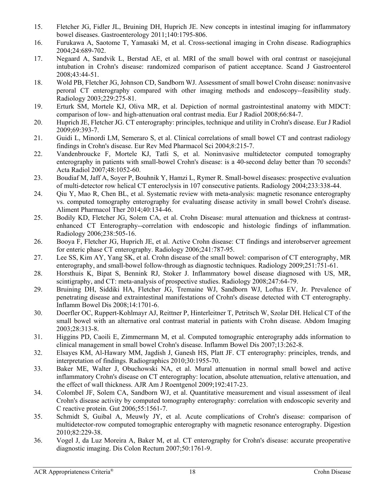- 15. Fletcher JG, Fidler JL, Bruining DH, Huprich JE. New concepts in intestinal imaging for inflammatory bowel diseases. Gastroenterology 2011;140:1795-806.
- 16. Furukawa A, Saotome T, Yamasaki M, et al. Cross-sectional imaging in Crohn disease. Radiographics 2004;24:689-702.
- 17. Negaard A, Sandvik L, Berstad AE, et al. MRI of the small bowel with oral contrast or nasojejunal intubation in Crohn's disease: randomized comparison of patient acceptance. Scand J Gastroenterol 2008;43:44-51.
- 18. Wold PB, Fletcher JG, Johnson CD, Sandborn WJ. Assessment of small bowel Crohn disease: noninvasive peroral CT enterography compared with other imaging methods and endoscopy--feasibility study. Radiology 2003;229:275-81.
- 19. Erturk SM, Mortele KJ, Oliva MR, et al. Depiction of normal gastrointestinal anatomy with MDCT: comparison of low- and high-attenuation oral contrast media. Eur J Radiol 2008;66:84-7.
- 20. Huprich JE, Fletcher JG. CT enterography: principles, technique and utility in Crohn's disease. Eur J Radiol 2009;69:393-7.
- 21. Guidi L, Minordi LM, Semeraro S, et al. Clinical correlations of small bowel CT and contrast radiology findings in Crohn's disease. Eur Rev Med Pharmacol Sci 2004;8:215-7.
- 22. Vandenbroucke F, Mortele KJ, Tatli S, et al. Noninvasive multidetector computed tomography enterography in patients with small-bowel Crohn's disease: is a 40-second delay better than 70 seconds? Acta Radiol 2007;48:1052-60.
- 23. Boudiaf M, Jaff A, Soyer P, Bouhnik Y, Hamzi L, Rymer R. Small-bowel diseases: prospective evaluation of multi-detector row helical CT enteroclysis in 107 consecutive patients. Radiology 2004;233:338-44.
- 24. Qiu Y, Mao R, Chen BL, et al. Systematic review with meta-analysis: magnetic resonance enterography vs. computed tomography enterography for evaluating disease activity in small bowel Crohn's disease. Aliment Pharmacol Ther 2014;40:134-46.
- 25. Bodily KD, Fletcher JG, Solem CA, et al. Crohn Disease: mural attenuation and thickness at contrastenhanced CT Enterography--correlation with endoscopic and histologic findings of inflammation. Radiology 2006;238:505-16.
- 26. Booya F, Fletcher JG, Huprich JE, et al. Active Crohn disease: CT findings and interobserver agreement for enteric phase CT enterography. Radiology 2006;241:787-95.
- 27. Lee SS, Kim AY, Yang SK, et al. Crohn disease of the small bowel: comparison of CT enterography, MR enterography, and small-bowel follow-through as diagnostic techniques. Radiology 2009;251:751-61.
- 28. Horsthuis K, Bipat S, Bennink RJ, Stoker J. Inflammatory bowel disease diagnosed with US, MR, scintigraphy, and CT: meta-analysis of prospective studies. Radiology 2008;247:64-79.
- 29. Bruining DH, Siddiki HA, Fletcher JG, Tremaine WJ, Sandborn WJ, Loftus EV, Jr. Prevalence of penetrating disease and extraintestinal manifestations of Crohn's disease detected with CT enterography. Inflamm Bowel Dis 2008;14:1701-6.
- 30. Doerfler OC, Ruppert-Kohlmayr AJ, Reittner P, Hinterleitner T, Petritsch W, Szolar DH. Helical CT of the small bowel with an alternative oral contrast material in patients with Crohn disease. Abdom Imaging 2003;28:313-8.
- 31. Higgins PD, Caoili E, Zimmermann M, et al. Computed tomographic enterography adds information to clinical management in small bowel Crohn's disease. Inflamm Bowel Dis 2007;13:262-8.
- 32. Elsayes KM, Al-Hawary MM, Jagdish J, Ganesh HS, Platt JF. CT enterography: principles, trends, and interpretation of findings. Radiographics 2010;30:1955-70.
- 33. Baker ME, Walter J, Obuchowski NA, et al. Mural attenuation in normal small bowel and active inflammatory Crohn's disease on CT enterography: location, absolute attenuation, relative attenuation, and the effect of wall thickness. AJR Am J Roentgenol 2009;192:417-23.
- 34. Colombel JF, Solem CA, Sandborn WJ, et al. Quantitative measurement and visual assessment of ileal Crohn's disease activity by computed tomography enterography: correlation with endoscopic severity and C reactive protein. Gut 2006;55:1561-7.
- 35. Schmidt S, Guibal A, Meuwly JY, et al. Acute complications of Crohn's disease: comparison of multidetector-row computed tomographic enterography with magnetic resonance enterography. Digestion 2010;82:229-38.
- 36. Vogel J, da Luz Moreira A, Baker M, et al. CT enterography for Crohn's disease: accurate preoperative diagnostic imaging. Dis Colon Rectum 2007;50:1761-9.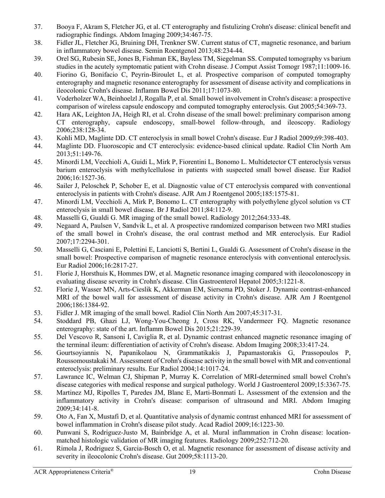- 37. Booya F, Akram S, Fletcher JG, et al. CT enterography and fistulizing Crohn's disease: clinical benefit and radiographic findings. Abdom Imaging 2009;34:467-75.
- 38. Fidler JL, Fletcher JG, Bruining DH, Trenkner SW. Current status of CT, magnetic resonance, and barium in inflammatory bowel disease. Semin Roentgenol 2013;48:234-44.
- 39. Orel SG, Rubesin SE, Jones B, Fishman EK, Bayless TM, Siegelman SS. Computed tomography vs barium studies in the acutely symptomatic patient with Crohn disease. J Comput Assist Tomogr 1987;11:1009-16.
- 40. Fiorino G, Bonifacio C, Peyrin-Biroulet L, et al. Prospective comparison of computed tomography enterography and magnetic resonance enterography for assessment of disease activity and complications in ileocolonic Crohn's disease. Inflamm Bowel Dis 2011;17:1073-80.
- 41. Voderholzer WA, Beinhoelzl J, Rogalla P, et al. Small bowel involvement in Crohn's disease: a prospective comparison of wireless capsule endoscopy and computed tomography enteroclysis. Gut 2005;54:369-73.
- 42. Hara AK, Leighton JA, Heigh RI, et al. Crohn disease of the small bowel: preliminary comparison among CT enterography, capsule endoscopy, small-bowel follow-through, and ileoscopy. Radiology 2006;238:128-34.
- 43. Kohli MD, Maglinte DD. CT enteroclysis in small bowel Crohn's disease. Eur J Radiol 2009;69:398-403.
- 44. Maglinte DD. Fluoroscopic and CT enteroclysis: evidence-based clinical update. Radiol Clin North Am 2013;51:149-76.
- 45. Minordi LM, Vecchioli A, Guidi L, Mirk P, Fiorentini L, Bonomo L. Multidetector CT enteroclysis versus barium enteroclysis with methylcellulose in patients with suspected small bowel disease. Eur Radiol 2006;16:1527-36.
- 46. Sailer J, Peloschek P, Schober E, et al. Diagnostic value of CT enteroclysis compared with conventional enteroclysis in patients with Crohn's disease. AJR Am J Roentgenol 2005;185:1575-81.
- 47. Minordi LM, Vecchioli A, Mirk P, Bonomo L. CT enterography with polyethylene glycol solution vs CT enteroclysis in small bowel disease. Br J Radiol 2011;84:112-9.
- 48. Masselli G, Gualdi G. MR imaging of the small bowel. Radiology 2012;264:333-48.
- 49. Negaard A, Paulsen V, Sandvik L, et al. A prospective randomized comparison between two MRI studies of the small bowel in Crohn's disease, the oral contrast method and MR enteroclysis. Eur Radiol 2007;17:2294-301.
- 50. Masselli G, Casciani E, Polettini E, Lanciotti S, Bertini L, Gualdi G. Assessment of Crohn's disease in the small bowel: Prospective comparison of magnetic resonance enteroclysis with conventional enteroclysis. Eur Radiol 2006;16:2817-27.
- 51. Florie J, Horsthuis K, Hommes DW, et al. Magnetic resonance imaging compared with ileocolonoscopy in evaluating disease severity in Crohn's disease. Clin Gastroenterol Hepatol 2005;3:1221-8.
- 52. Florie J, Wasser MN, Arts-Cieslik K, Akkerman EM, Siersema PD, Stoker J. Dynamic contrast-enhanced MRI of the bowel wall for assessment of disease activity in Crohn's disease. AJR Am J Roentgenol 2006;186:1384-92.
- 53. Fidler J. MR imaging of the small bowel. Radiol Clin North Am 2007;45:317-31.
- 54. Stoddard PB, Ghazi LJ, Wong-You-Cheong J, Cross RK, Vandermeer FQ. Magnetic resonance enterography: state of the art. Inflamm Bowel Dis 2015;21:229-39.
- 55. Del Vescovo R, Sansoni I, Caviglia R, et al. Dynamic contrast enhanced magnetic resonance imaging of the terminal ileum: differentiation of activity of Crohn's disease. Abdom Imaging 2008;33:417-24.
- 56. Gourtsoyiannis N, Papanikolaou N, Grammatikakis J, Papamastorakis G, Prassopoulos P, Roussomoustakaki M. Assessment of Crohn's disease activity in the small bowel with MR and conventional enteroclysis: preliminary results. Eur Radiol 2004;14:1017-24.
- 57. Lawrance IC, Welman CJ, Shipman P, Murray K. Correlation of MRI-determined small bowel Crohn's disease categories with medical response and surgical pathology. World J Gastroenterol 2009;15:3367-75.
- 58. Martinez MJ, Ripolles T, Paredes JM, Blanc E, Marti-Bonmati L. Assessment of the extension and the inflammatory activity in Crohn's disease: comparison of ultrasound and MRI. Abdom Imaging 2009;34:141-8.
- 59. Oto A, Fan X, Mustafi D, et al. Quantitative analysis of dynamic contrast enhanced MRI for assessment of bowel inflammation in Crohn's disease pilot study. Acad Radiol 2009;16:1223-30.
- 60. Punwani S, Rodriguez-Justo M, Bainbridge A, et al. Mural inflammation in Crohn disease: locationmatched histologic validation of MR imaging features. Radiology 2009;252:712-20.
- 61. Rimola J, Rodriguez S, Garcia-Bosch O, et al. Magnetic resonance for assessment of disease activity and severity in ileocolonic Crohn's disease. Gut 2009;58:1113-20.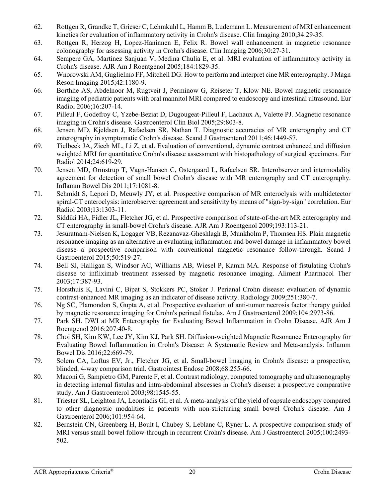- 62. Rottgen R, Grandke T, Grieser C, Lehmkuhl L, Hamm B, Ludemann L. Measurement of MRI enhancement kinetics for evaluation of inflammatory activity in Crohn's disease. Clin Imaging 2010;34:29-35.
- 63. Rottgen R, Herzog H, Lopez-Haninnen E, Felix R. Bowel wall enhancement in magnetic resonance colonography for assessing activity in Crohn's disease. Clin Imaging 2006;30:27-31.
- 64. Sempere GA, Martinez Sanjuan V, Medina Chulia E, et al. MRI evaluation of inflammatory activity in Crohn's disease. AJR Am J Roentgenol 2005;184:1829-35.
- 65. Wnorowski AM, Guglielmo FF, Mitchell DG. How to perform and interpret cine MR enterography. J Magn Reson Imaging 2015;42:1180-9.
- 66. Borthne AS, Abdelnoor M, Rugtveit J, Perminow G, Reiseter T, Klow NE. Bowel magnetic resonance imaging of pediatric patients with oral mannitol MRI compared to endoscopy and intestinal ultrasound. Eur Radiol 2006;16:207-14.
- 67. Pilleul F, Godefroy C, Yzebe-Beziat D, Dugougeat-Pilleul F, Lachaux A, Valette PJ. Magnetic resonance imaging in Crohn's disease. Gastroenterol Clin Biol 2005;29:803-8.
- 68. Jensen MD, Kjeldsen J, Rafaelsen SR, Nathan T. Diagnostic accuracies of MR enterography and CT enterography in symptomatic Crohn's disease. Scand J Gastroenterol 2011;46:1449-57.
- 69. Tielbeek JA, Ziech ML, Li Z, et al. Evaluation of conventional, dynamic contrast enhanced and diffusion weighted MRI for quantitative Crohn's disease assessment with histopathology of surgical specimens. Eur Radiol 2014;24:619-29.
- 70. Jensen MD, Ormstrup T, Vagn-Hansen C, Ostergaard L, Rafaelsen SR. Interobserver and intermodality agreement for detection of small bowel Crohn's disease with MR enterography and CT enterography. Inflamm Bowel Dis 2011;17:1081-8.
- 71. Schmidt S, Lepori D, Meuwly JY, et al. Prospective comparison of MR enteroclysis with multidetector spiral-CT enteroclysis: interobserver agreement and sensitivity by means of "sign-by-sign" correlation. Eur Radiol 2003;13:1303-11.
- 72. Siddiki HA, Fidler JL, Fletcher JG, et al. Prospective comparison of state-of-the-art MR enterography and CT enterography in small-bowel Crohn's disease. AJR Am J Roentgenol 2009;193:113-21.
- 73. Jesuratnam-Nielsen K, Logager VB, Rezanavaz-Gheshlagh B, Munkholm P, Thomsen HS. Plain magnetic resonance imaging as an alternative in evaluating inflammation and bowel damage in inflammatory bowel disease--a prospective comparison with conventional magnetic resonance follow-through. Scand J Gastroenterol 2015;50:519-27.
- 74. Bell SJ, Halligan S, Windsor AC, Williams AB, Wiesel P, Kamm MA. Response of fistulating Crohn's disease to infliximab treatment assessed by magnetic resonance imaging. Aliment Pharmacol Ther 2003;17:387-93.
- 75. Horsthuis K, Lavini C, Bipat S, Stokkers PC, Stoker J. Perianal Crohn disease: evaluation of dynamic contrast-enhanced MR imaging as an indicator of disease activity. Radiology 2009;251:380-7.
- 76. Ng SC, Plamondon S, Gupta A, et al. Prospective evaluation of anti-tumor necrosis factor therapy guided by magnetic resonance imaging for Crohn's perineal fistulas. Am J Gastroenterol 2009;104:2973-86.
- 77. Park SH. DWI at MR Enterography for Evaluating Bowel Inflammation in Crohn Disease. AJR Am J Roentgenol 2016;207:40-8.
- 78. Choi SH, Kim KW, Lee JY, Kim KJ, Park SH. Diffusion-weighted Magnetic Resonance Enterography for Evaluating Bowel Inflammation in Crohn's Disease: A Systematic Review and Meta-analysis. Inflamm Bowel Dis 2016;22:669-79.
- 79. Solem CA, Loftus EV, Jr., Fletcher JG, et al. Small-bowel imaging in Crohn's disease: a prospective, blinded, 4-way comparison trial. Gastrointest Endosc 2008;68:255-66.
- 80. Maconi G, Sampietro GM, Parente F, et al. Contrast radiology, computed tomography and ultrasonography in detecting internal fistulas and intra-abdominal abscesses in Crohn's disease: a prospective comparative study. Am J Gastroenterol 2003;98:1545-55.
- 81. Triester SL, Leighton JA, Leontiadis GI, et al. A meta-analysis of the yield of capsule endoscopy compared to other diagnostic modalities in patients with non-stricturing small bowel Crohn's disease. Am J Gastroenterol 2006;101:954-64.
- 82. Bernstein CN, Greenberg H, Boult I, Chubey S, Leblanc C, Ryner L. A prospective comparison study of MRI versus small bowel follow-through in recurrent Crohn's disease. Am J Gastroenterol 2005;100:2493- 502.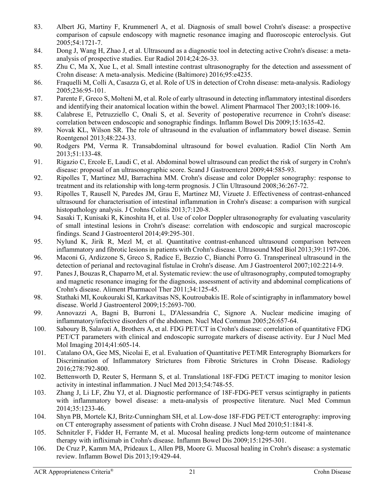- 83. Albert JG, Martiny F, Krummenerl A, et al. Diagnosis of small bowel Crohn's disease: a prospective comparison of capsule endoscopy with magnetic resonance imaging and fluoroscopic enteroclysis. Gut 2005;54:1721-7.
- 84. Dong J, Wang H, Zhao J, et al. Ultrasound as a diagnostic tool in detecting active Crohn's disease: a metaanalysis of prospective studies. Eur Radiol 2014;24:26-33.
- 85. Zhu C, Ma X, Xue L, et al. Small intestine contrast ultrasonography for the detection and assessment of Crohn disease: A meta-analysis. Medicine (Baltimore) 2016;95:e4235.
- 86. Fraquelli M, Colli A, Casazza G, et al. Role of US in detection of Crohn disease: meta-analysis. Radiology 2005;236:95-101.
- 87. Parente F, Greco S, Molteni M, et al. Role of early ultrasound in detecting inflammatory intestinal disorders and identifying their anatomical location within the bowel. Aliment Pharmacol Ther 2003;18:1009-16.
- 88. Calabrese E, Petruzziello C, Onali S, et al. Severity of postoperative recurrence in Crohn's disease: correlation between endoscopic and sonographic findings. Inflamm Bowel Dis 2009;15:1635-42.
- 89. Novak KL, Wilson SR. The role of ultrasound in the evaluation of inflammatory bowel disease. Semin Roentgenol 2013;48:224-33.
- 90. Rodgers PM, Verma R. Transabdominal ultrasound for bowel evaluation. Radiol Clin North Am 2013;51:133-48.
- 91. Rigazio C, Ercole E, Laudi C, et al. Abdominal bowel ultrasound can predict the risk of surgery in Crohn's disease: proposal of an ultrasonographic score. Scand J Gastroenterol 2009;44:585-93.
- 92. Ripolles T, Martinez MJ, Barrachina MM. Crohn's disease and color Doppler sonography: response to treatment and its relationship with long-term prognosis. J Clin Ultrasound 2008;36:267-72.
- 93. Ripolles T, Rausell N, Paredes JM, Grau E, Martinez MJ, Vizuete J. Effectiveness of contrast-enhanced ultrasound for characterisation of intestinal inflammation in Crohn's disease: a comparison with surgical histopathology analysis. J Crohns Colitis 2013;7:120-8.
- 94. Sasaki T, Kunisaki R, Kinoshita H, et al. Use of color Doppler ultrasonography for evaluating vascularity of small intestinal lesions in Crohn's disease: correlation with endoscopic and surgical macroscopic findings. Scand J Gastroenterol 2014;49:295-301.
- 95. Nylund K, Jirik R, Mezl M, et al. Quantitative contrast-enhanced ultrasound comparison between inflammatory and fibrotic lesions in patients with Crohn's disease. Ultrasound Med Biol 2013;39:1197-206.
- 96. Maconi G, Ardizzone S, Greco S, Radice E, Bezzio C, Bianchi Porro G. Transperineal ultrasound in the detection of perianal and rectovaginal fistulae in Crohn's disease. Am J Gastroenterol 2007;102:2214-9.
- 97. Panes J, Bouzas R, Chaparro M, et al. Systematic review: the use of ultrasonography, computed tomography and magnetic resonance imaging for the diagnosis, assessment of activity and abdominal complications of Crohn's disease. Aliment Pharmacol Ther 2011;34:125-45.
- 98. Stathaki MI, Koukouraki SI, Karkavitsas NS, Koutroubakis IE. Role of scintigraphy in inflammatory bowel disease. World J Gastroenterol 2009;15:2693-700.
- 99. Annovazzi A, Bagni B, Burroni L, D'Alessandria C, Signore A. Nuclear medicine imaging of inflammatory/infective disorders of the abdomen. Nucl Med Commun 2005;26:657-64.
- 100. Saboury B, Salavati A, Brothers A, et al. FDG PET/CT in Crohn's disease: correlation of quantitative FDG PET/CT parameters with clinical and endoscopic surrogate markers of disease activity. Eur J Nucl Med Mol Imaging 2014;41:605-14.
- 101. Catalano OA, Gee MS, Nicolai E, et al. Evaluation of Quantitative PET/MR Enterography Biomarkers for Discrimination of Inflammatory Strictures from Fibrotic Strictures in Crohn Disease. Radiology 2016;278:792-800.
- 102. Bettenworth D, Reuter S, Hermann S, et al. Translational 18F-FDG PET/CT imaging to monitor lesion activity in intestinal inflammation. J Nucl Med 2013;54:748-55.
- 103. Zhang J, Li LF, Zhu YJ, et al. Diagnostic performance of 18F-FDG-PET versus scintigraphy in patients with inflammatory bowel disease: a meta-analysis of prospective literature. Nucl Med Commun 2014;35:1233-46.
- 104. Shyn PB, Mortele KJ, Britz-Cunningham SH, et al. Low-dose 18F-FDG PET/CT enterography: improving on CT enterography assessment of patients with Crohn disease. J Nucl Med 2010;51:1841-8.
- 105. Schnitzler F, Fidder H, Ferrante M, et al. Mucosal healing predicts long-term outcome of maintenance therapy with infliximab in Crohn's disease. Inflamm Bowel Dis 2009;15:1295-301.
- 106. De Cruz P, Kamm MA, Prideaux L, Allen PB, Moore G. Mucosal healing in Crohn's disease: a systematic review. Inflamm Bowel Dis 2013;19:429-44.